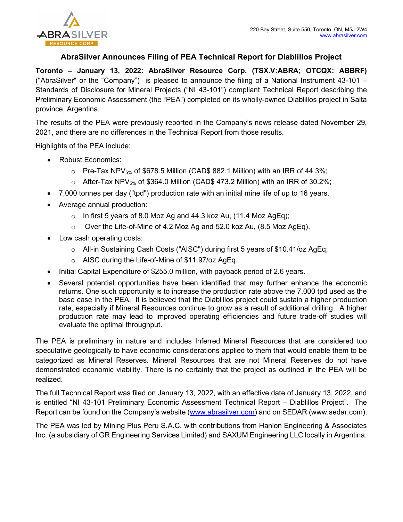

## AbraSilver Announces Filing of PEA Technical Report for Diablillos Project

Toronto – January 13, 2022: AbraSilver Resource Corp. (TSX.V:ABRA; OTCQX: ABBRF) ("AbraSilver" or the "Company") is pleased to announce the filing of a National Instrument 43-101 – Standards of Disclosure for Mineral Projects ("NI 43-101") compliant Technical Report describing the Preliminary Economic Assessment (the "PEA") completed on its wholly-owned Diablillos project in Salta province, Argentina.

The results of the PEA were previously reported in the Company's news release dated November 29, 2021, and there are no differences in the Technical Report from those results.

Highlights of the PEA include:

- Robust Economics:
	- $\circ$  Pre-Tax NPV<sub>5%</sub> of \$678.5 Million (CAD\$ 882.1 Million) with an IRR of 44.3%;
	- $\circ$  After-Tax NPV<sub>5%</sub> of \$364.0 Million (CAD\$ 473.2 Million) with an IRR of 30.2%;
- 7,000 tonnes per day ("tpd") production rate with an initial mine life of up to 16 years.
- Average annual production:
	- $\circ$  In first 5 years of 8.0 Moz Ag and 44.3 koz Au, (11.4 Moz AgEq);
	- o Over the Life-of-Mine of 4.2 Moz Ag and 52.0 koz Au, (8.5 Moz AgEq).
- Low cash operating costs:
	- o All-in Sustaining Cash Costs ("AISC") during first 5 years of \$10.41/oz AgEq;
	- o AISC during the Life-of-Mine of \$11.97/oz AgEq.
- Initial Capital Expenditure of \$255.0 million, with payback period of 2.6 years.
- Several potential opportunities have been identified that may further enhance the economic returns. One such opportunity is to increase the production rate above the 7,000 tpd used as the base case in the PEA. It is believed that the Diablillos project could sustain a higher production rate, especially if Mineral Resources continue to grow as a result of additional drilling. A higher production rate may lead to improved operating efficiencies and future trade-off studies will evaluate the optimal throughput.

The PEA is preliminary in nature and includes Inferred Mineral Resources that are considered too speculative geologically to have economic considerations applied to them that would enable them to be categorized as Mineral Reserves. Mineral Resources that are not Mineral Reserves do not have demonstrated economic viability. There is no certainty that the project as outlined in the PEA will be realized.

The full Technical Report was filed on January 13, 2022, with an effective date of January 13, 2022, and is entitled "NI 43-101 Preliminary Economic Assessment Technical Report – Diablillos Project". The Report can be found on the Company's website (www.abrasilver.com) and on SEDAR (www.sedar.com).

The PEA was led by Mining Plus Peru S.A.C. with contributions from Hanlon Engineering & Associates Inc. (a subsidiary of GR Engineering Services Limited) and SAXUM Engineering LLC locally in Argentina.